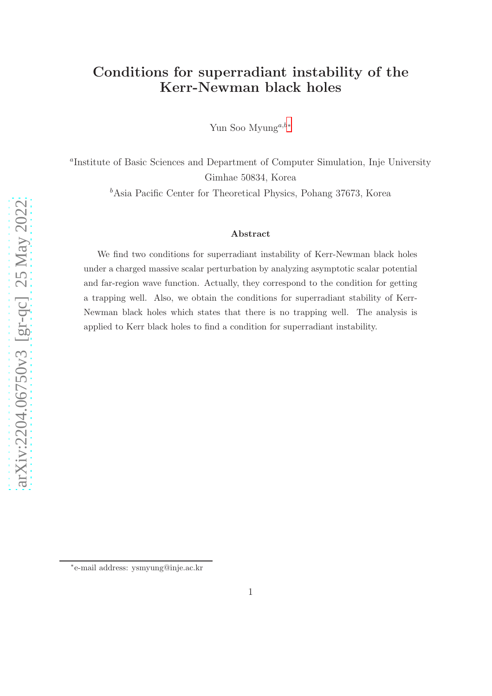## Conditions for superradiant instability of the Kerr-Newman black holes

Yun Soo Myung<sup>a,b[∗](#page-0-0)</sup>

a Institute of Basic Sciences and Department of Computer Simulation, Inje University Gimhae 50834, Korea

 $<sup>b</sup>$ Asia Pacific Center for Theoretical Physics, Pohang 37673, Korea</sup>

#### Abstract

We find two conditions for superradiant instability of Kerr-Newman black holes under a charged massive scalar perturbation by analyzing asymptotic scalar potential and far-region wave function. Actually, they correspond to the condition for getting a trapping well. Also, we obtain the conditions for superradiant stability of Kerr-Newman black holes which states that there is no trapping well. The analysis is applied to Kerr black holes to find a condition for superradiant instability.

<span id="page-0-0"></span><sup>∗</sup> e-mail address: ysmyung@inje.ac.kr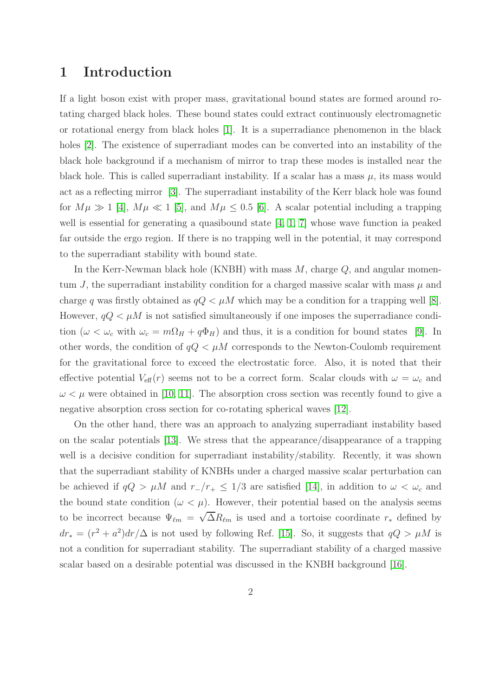### 1 Introduction

If a light boson exist with proper mass, gravitational bound states are formed around rotating charged black holes. These bound states could extract continuously electromagnetic or rotational energy from black holes [\[1\]](#page-13-0). It is a superradiance phenomenon in the black holes [\[2\]](#page-13-1). The existence of superradiant modes can be converted into an instability of the black hole background if a mechanism of mirror to trap these modes is installed near the black hole. This is called superradiant instability. If a scalar has a mass  $\mu$ , its mass would act as a reflecting mirror [\[3\]](#page-13-2). The superradiant instability of the Kerr black hole was found for  $M\mu \gg 1$  [\[4\]](#page-13-3),  $M\mu \ll 1$  [\[5\]](#page-13-4), and  $M\mu \leq 0.5$  [\[6\]](#page-13-5). A scalar potential including a trapping well is essential for generating a quasibound state [\[4,](#page-13-3) [1,](#page-13-0) [7\]](#page-13-6) whose wave function ia peaked far outside the ergo region. If there is no trapping well in the potential, it may correspond to the superradiant stability with bound state.

In the Kerr-Newman black hole (KNBH) with mass  $M$ , charge  $Q$ , and angular momentum J, the superradiant instability condition for a charged massive scalar with mass  $\mu$  and charge q was firstly obtained as  $qQ < \mu M$  which may be a condition for a trapping well [\[8\]](#page-13-7). However,  $qQ < \mu M$  is not satisfied simultaneously if one imposes the superradiance condition ( $\omega < \omega_c$  with  $\omega_c = m\Omega_H + q\Phi_H$ ) and thus, it is a condition for bound states [\[9\]](#page-13-8). In other words, the condition of  $qQ < \mu M$  corresponds to the Newton-Coulomb requirement for the gravitational force to exceed the electrostatic force. Also, it is noted that their effective potential  $V_{\text{eff}}(r)$  seems not to be a correct form. Scalar clouds with  $\omega = \omega_c$  and  $\omega \leq \mu$  were obtained in [\[10,](#page-13-9) [11\]](#page-13-10). The absorption cross section was recently found to give a negative absorption cross section for co-rotating spherical waves [\[12\]](#page-13-11).

On the other hand, there was an approach to analyzing superradiant instability based on the scalar potentials [\[13\]](#page-13-12). We stress that the appearance/disappearance of a trapping well is a decisive condition for superradiant instability/stability. Recently, it was shown that the superradiant stability of KNBHs under a charged massive scalar perturbation can be achieved if  $qQ > \mu M$  and  $r_{-}/r_{+} \leq 1/3$  are satisfied [\[14\]](#page-14-0), in addition to  $\omega < \omega_c$  and the bound state condition ( $\omega < \mu$ ). However, their potential based on the analysis seems to be incorrect because  $\Psi_{\ell m} = \sqrt{\Delta} R_{\ell m}$  is used and a tortoise coordinate  $r_*$  defined by  $dr_* = (r^2 + a^2)dr/\Delta$  is not used by following Ref. [\[15\]](#page-14-1). So, it suggests that  $qQ > \mu M$  is not a condition for superradiant stability. The superradiant stability of a charged massive scalar based on a desirable potential was discussed in the KNBH background [\[16\]](#page-14-2).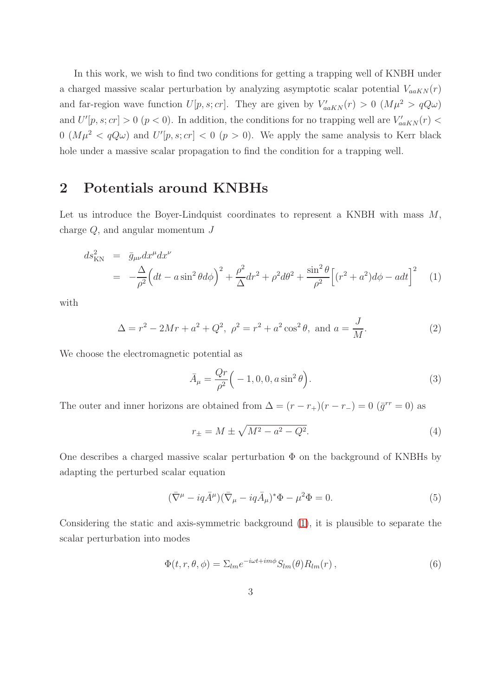In this work, we wish to find two conditions for getting a trapping well of KNBH under a charged massive scalar perturbation by analyzing asymptotic scalar potential  $V_{a\alpha KN}(r)$ and far-region wave function  $U[p, s; cr]$ . They are given by  $V'_{aaKN}(r) > 0$   $(M\mu^2 > qQ\omega)$ and  $U'[p,s;cr] > 0$   $(p < 0)$ . In addition, the conditions for no trapping well are  $V'_{a a K N}(r) <$  $0 \ (M\mu^2 < qQ\omega)$  and  $U'[p, s; cr] < 0 \ (p > 0)$ . We apply the same analysis to Kerr black hole under a massive scalar propagation to find the condition for a trapping well.

## 2 Potentials around KNBHs

Let us introduce the Boyer-Lindquist coordinates to represent a KNBH with mass  $M$ , charge  $Q$ , and angular momentum  $J$ 

<span id="page-2-0"></span>
$$
ds_{\rm KN}^2 = \bar{g}_{\mu\nu} dx^{\mu} dx^{\nu}
$$
  
= 
$$
-\frac{\Delta}{\rho^2} \Big( dt - a \sin^2 \theta d\phi \Big)^2 + \frac{\rho^2}{\Delta} dr^2 + \rho^2 d\theta^2 + \frac{\sin^2 \theta}{\rho^2} \Big[ (r^2 + a^2) d\phi - a dt \Big]^2
$$
 (1)

with

$$
\Delta = r^2 - 2Mr + a^2 + Q^2, \ \rho^2 = r^2 + a^2 \cos^2 \theta, \text{ and } a = \frac{J}{M}.
$$
 (2)

We choose the electromagnetic potential as

$$
\bar{A}_{\mu} = \frac{Qr}{\rho^2} \left( -1, 0, 0, a \sin^2 \theta \right). \tag{3}
$$

The outer and inner horizons are obtained from  $\Delta = (r - r_+)(r - r_-) = 0$   $(\bar{g}^{rr} = 0)$  as

$$
r_{\pm} = M \pm \sqrt{M^2 - a^2 - Q^2}.
$$
\n(4)

One describes a charged massive scalar perturbation  $\Phi$  on the background of KNBHs by adapting the perturbed scalar equation

<span id="page-2-2"></span>
$$
(\bar{\nabla}^{\mu} - iq\bar{A}^{\mu})(\bar{\nabla}_{\mu} - iq\bar{A}_{\mu})^*\Phi - \mu^2\Phi = 0.
$$
\n(5)

Considering the static and axis-symmetric background [\(1\)](#page-2-0), it is plausible to separate the scalar perturbation into modes

<span id="page-2-1"></span>
$$
\Phi(t, r, \theta, \phi) = \Sigma_{lm} e^{-i\omega t + im\phi} S_{lm}(\theta) R_{lm}(r) , \qquad (6)
$$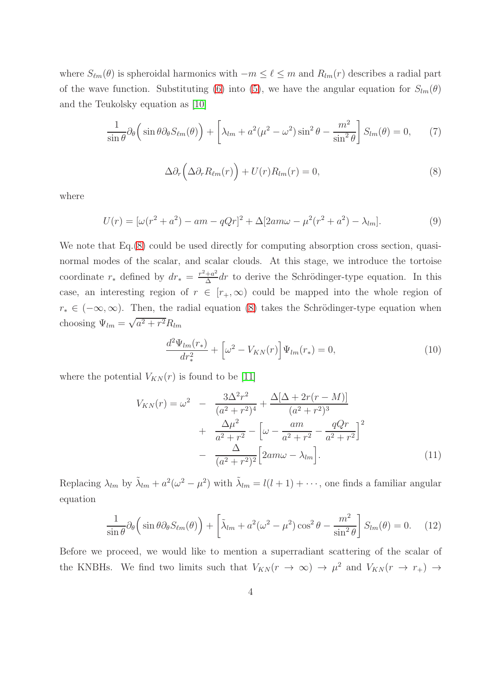where  $S_{\ell m}(\theta)$  is spheroidal harmonics with  $-m \leq \ell \leq m$  and  $R_{lm}(r)$  describes a radial part of the wave function. Substituting [\(6\)](#page-2-1) into [\(5\)](#page-2-2), we have the angular equation for  $S_{lm}(\theta)$ and the Teukolsky equation as [\[10\]](#page-13-9)

$$
\frac{1}{\sin \theta} \partial_{\theta} \left( \sin \theta \partial_{\theta} S_{\ell m}(\theta) \right) + \left[ \lambda_{lm} + a^2 (\mu^2 - \omega^2) \sin^2 \theta - \frac{m^2}{\sin^2 \theta} \right] S_{lm}(\theta) = 0, \tag{7}
$$

<span id="page-3-0"></span>
$$
\Delta \partial_r \left( \Delta \partial_r R_{\ell m}(r) \right) + U(r) R_{lm}(r) = 0, \tag{8}
$$

where

$$
U(r) = [\omega(r^2 + a^2) - am - qQr]^2 + \Delta[2am\omega - \mu^2(r^2 + a^2) - \lambda_{lm}].
$$
\n(9)

We note that Eq.[\(8\)](#page-3-0) could be used directly for computing absorption cross section, quasinormal modes of the scalar, and scalar clouds. At this stage, we introduce the tortoise coordinate  $r_*$  defined by  $dr_* = \frac{r^2 + a^2}{\Delta}$  $\frac{+a^2}{\Delta}$ dr to derive the Schrödinger-type equation. In this case, an interesting region of  $r \in [r_+,\infty)$  could be mapped into the whole region of  $r_* \in (-\infty, \infty)$ . Then, the radial equation [\(8\)](#page-3-0) takes the Schrödinger-type equation when choosing  $\Psi_{lm} = \sqrt{a^2 + r^2} R_{lm}$ 

<span id="page-3-1"></span>
$$
\frac{d^2\Psi_{lm}(r_*)}{dr_*^2} + \left[\omega^2 - V_{KN}(r)\right]\Psi_{lm}(r_*) = 0,
$$
\n(10)

where the potential  $V_{KN}(r)$  is found to be [\[11\]](#page-13-10)

$$
V_{KN}(r) = \omega^2 - \frac{3\Delta^2 r^2}{(a^2 + r^2)^4} + \frac{\Delta[\Delta + 2r(r - M)]}{(a^2 + r^2)^3} + \frac{\Delta\mu^2}{a^2 + r^2} - \left[\omega - \frac{am}{a^2 + r^2} - \frac{qQr}{a^2 + r^2}\right]^2 - \frac{\Delta}{(a^2 + r^2)^2} \left[2am\omega - \lambda_{lm}\right].
$$
 (11)

Replacing  $\lambda_{lm}$  by  $\tilde{\lambda}_{lm} + a^2(\omega^2 - \mu^2)$  with  $\tilde{\lambda}_{lm} = l(l+1) + \cdots$ , one finds a familiar angular equation

$$
\frac{1}{\sin \theta} \partial_{\theta} \left( \sin \theta \partial_{\theta} S_{\ell m}(\theta) \right) + \left[ \tilde{\lambda}_{lm} + a^2 (\omega^2 - \mu^2) \cos^2 \theta - \frac{m^2}{\sin^2 \theta} \right] S_{lm}(\theta) = 0. \quad (12)
$$

Before we proceed, we would like to mention a superradiant scattering of the scalar of the KNBHs. We find two limits such that  $V_{KN}(r \to \infty) \to \mu^2$  and  $V_{KN}(r \to r_+) \to$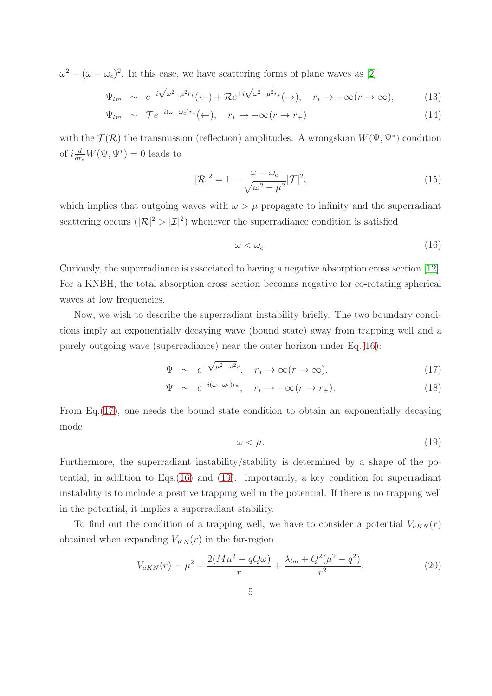$\omega^2 - (\omega - \omega_c)^2$ . In this case, we have scattering forms of plane waves as [\[2\]](#page-13-1)

$$
\Psi_{lm} \sim e^{-i\sqrt{\omega^2 - \mu^2}r_*}(\leftarrow) + \mathcal{R}e^{+i\sqrt{\omega^2 - \mu^2}r_*}(\rightarrow), \quad r_* \to +\infty(r \to \infty), \tag{13}
$$

$$
\Psi_{lm} \sim \mathcal{T}e^{-i(\omega - \omega_c)r_*}(\leftarrow), \quad r_* \to -\infty(r \to r_+)
$$
\n(14)

with the  $\mathcal{T}(\mathcal{R})$  the transmission (reflection) amplitudes. A wrongskian  $W(\Psi, \Psi^*)$  condition of  $i\frac{d}{dr_*}W(\Psi,\Psi^*)=0$  leads to

$$
|\mathcal{R}|^2 = 1 - \frac{\omega - \omega_c}{\sqrt{\omega^2 - \mu^2}} |\mathcal{T}|^2,
$$
\n(15)

which implies that outgoing waves with  $\omega > \mu$  propagate to infinity and the superradiant scattering occurs  $(|\mathcal{R}|^2 > |\mathcal{I}|^2)$  whenever the superradiance condition is satisfied

<span id="page-4-0"></span>
$$
\omega < \omega_c. \tag{16}
$$

Curiously, the superradiance is associated to having a negative absorption cross section [\[12\]](#page-13-11). For a KNBH, the total absorption cross section becomes negative for co-rotating spherical waves at low frequencies.

Now, we wish to describe the superradiant instability briefly. The two boundary conditions imply an exponentially decaying wave (bound state) away from trapping well and a purely outgoing wave (superradiance) near the outer horizon under Eq.[\(16\)](#page-4-0):

<span id="page-4-1"></span>
$$
\Psi \sim e^{-\sqrt{\mu^2 - \omega^2}r}, \quad r_* \to \infty (r \to \infty), \tag{17}
$$

$$
\Psi \sim e^{-i(\omega - \omega_c)r_*}, \quad r_* \to -\infty (r \to r_+). \tag{18}
$$

From Eq.[\(17\)](#page-4-1), one needs the bound state condition to obtain an exponentially decaying mode

<span id="page-4-2"></span>
$$
\omega < \mu. \tag{19}
$$

Furthermore, the superradiant instability/stability is determined by a shape of the potential, in addition to Eqs.[\(16\)](#page-4-0) and [\(19\)](#page-4-2). Importantly, a key condition for superradiant instability is to include a positive trapping well in the potential. If there is no trapping well in the potential, it implies a superradiant stability.

To find out the condition of a trapping well, we have to consider a potential  $V_{aKN}(r)$ obtained when expanding  $V_{KN}(r)$  in the far-region

<span id="page-4-3"></span>
$$
V_{aKN}(r) = \mu^2 - \frac{2(M\mu^2 - qQ\omega)}{r} + \frac{\lambda_{lm} + Q^2(\mu^2 - q^2)}{r^2}.
$$
 (20)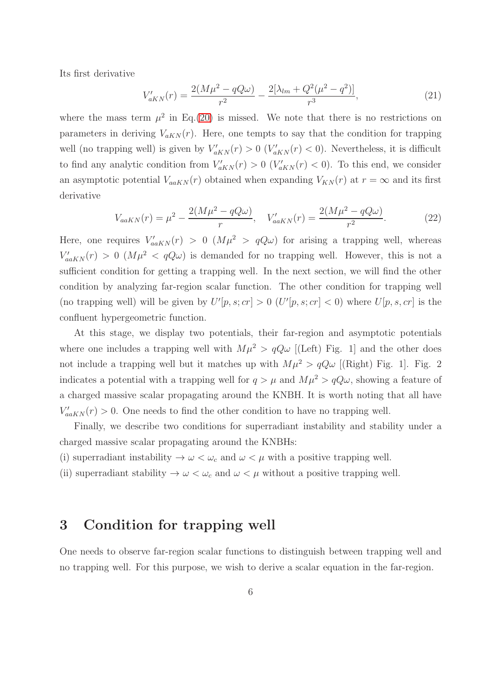Its first derivative

$$
V'_{aKN}(r) = \frac{2(M\mu^2 - qQ\omega)}{r^2} - \frac{2[\lambda_{lm} + Q^2(\mu^2 - q^2)]}{r^3},\tag{21}
$$

where the mass term  $\mu^2$  in Eq.[\(20\)](#page-4-3) is missed. We note that there is no restrictions on parameters in deriving  $V_{aKN}(r)$ . Here, one tempts to say that the condition for trapping well (no trapping well) is given by  $V'_{aKN}(r) > 0$  ( $V'_{aKN}(r) < 0$ ). Nevertheless, it is difficult to find any analytic condition from  $V'_{aKN}(r) > 0$  ( $V'_{aKN}(r) < 0$ ). To this end, we consider an asymptotic potential  $V_{a a K N}(r)$  obtained when expanding  $V_{K N}(r)$  at  $r = \infty$  and its first derivative

$$
V_{a a K N}(r) = \mu^2 - \frac{2(M\mu^2 - qQ\omega)}{r}, \quad V'_{a a K N}(r) = \frac{2(M\mu^2 - qQ\omega)}{r^2}.
$$
 (22)

Here, one requires  $V'_{a a K N}(r) > 0$   $(M\mu^2 > qQ\omega)$  for arising a trapping well, whereas  $V'_{a\alpha KN}(r) > 0$   $(M\mu^2 < qQ\omega)$  is demanded for no trapping well. However, this is not a sufficient condition for getting a trapping well. In the next section, we will find the other condition by analyzing far-region scalar function. The other condition for trapping well (no trapping well) will be given by  $U'[p,s;cr] > 0$   $(U'[p,s;cr] < 0)$  where  $U[p,s,cr]$  is the confluent hypergeometric function.

At this stage, we display two potentials, their far-region and asymptotic potentials where one includes a trapping well with  $M\mu^2 > qQ\omega$  [(Left) Fig. 1] and the other does not include a trapping well but it matches up with  $M\mu^2 > qQ\omega$  [(Right) Fig. 1]. Fig. 2 indicates a potential with a trapping well for  $q > \mu$  and  $M\mu^2 > qQ\omega$ , showing a feature of a charged massive scalar propagating around the KNBH. It is worth noting that all have  $V'_{a a K N}(r) > 0$ . One needs to find the other condition to have no trapping well.

Finally, we describe two conditions for superradiant instability and stability under a charged massive scalar propagating around the KNBHs:

(i) superradiant instability  $\rightarrow \omega < \omega_c$  and  $\omega < \mu$  with a positive trapping well.

(ii) superradiant stability  $\rightarrow \omega < \omega_c$  and  $\omega < \mu$  without a positive trapping well.

# 3 Condition for trapping well

One needs to observe far-region scalar functions to distinguish between trapping well and no trapping well. For this purpose, we wish to derive a scalar equation in the far-region.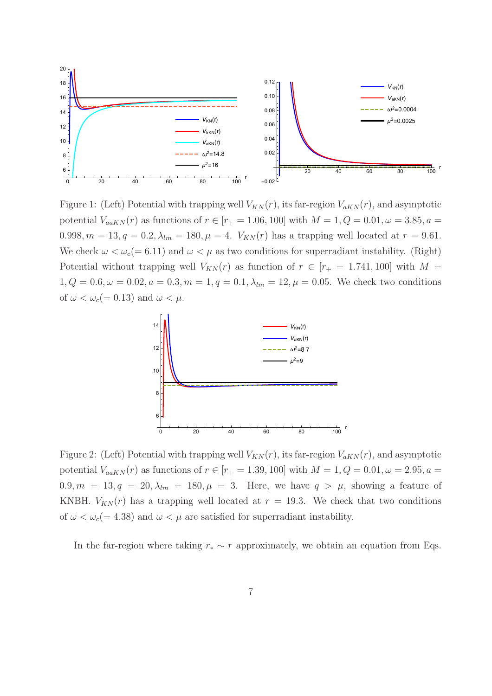

Figure 1: (Left) Potential with trapping well  $V_{KN}(r)$ , its far-region  $V_{aKN}(r)$ , and asymptotic potential  $V_{a a K N}(r)$  as functions of  $r \in [r_{+} = 1.06, 100]$  with  $M = 1, Q = 0.01, \omega = 3.85, a =$ 0.998,  $m = 13$ ,  $q = 0.2$ ,  $\lambda_{lm} = 180$ ,  $\mu = 4$ .  $V_{KN}(r)$  has a trapping well located at  $r = 9.61$ . We check  $\omega < \omega_c (= 6.11)$  and  $\omega < \mu$  as two conditions for superradiant instability. (Right) Potential without trapping well  $V_{KN}(r)$  as function of  $r \in [r_{+} = 1.741, 100]$  with  $M =$  $1, Q = 0.6, \omega = 0.02, a = 0.3, m = 1, q = 0.1, \lambda_{lm} = 12, \mu = 0.05$ . We check two conditions of  $\omega < \omega_c (= 0.13)$  and  $\omega < \mu$ .



Figure 2: (Left) Potential with trapping well  $V_{KN}(r)$ , its far-region  $V_{aKN}(r)$ , and asymptotic potential  $V_{a a K N}(r)$  as functions of  $r \in [r_{+} = 1.39, 100]$  with  $M = 1, Q = 0.01, \omega = 2.95, a =$  $0.9, m = 13, q = 20, \lambda_{lm} = 180, \mu = 3$ . Here, we have  $q > \mu$ , showing a feature of KNBH.  $V_{KN}(r)$  has a trapping well located at  $r = 19.3$ . We check that two conditions of  $\omega < \omega_c (= 4.38)$  and  $\omega < \mu$  are satisfied for superradiant instability.

In the far-region where taking  $r_* \sim r$  approximately, we obtain an equation from Eqs.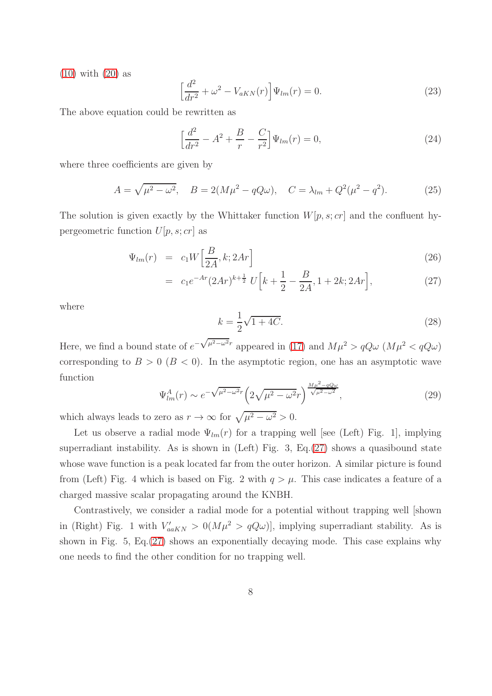[\(10\)](#page-3-1) with [\(20\)](#page-4-3) as

$$
\left[\frac{d^2}{dr^2} + \omega^2 - V_{aKN}(r)\right] \Psi_{lm}(r) = 0.
$$
\n(23)

The above equation could be rewritten as

<span id="page-7-1"></span>
$$
\left[\frac{d^2}{dr^2} - A^2 + \frac{B}{r} - \frac{C}{r^2}\right] \Psi_{lm}(r) = 0,
$$
\n(24)

where three coefficients are given by

$$
A = \sqrt{\mu^2 - \omega^2}, \quad B = 2(M\mu^2 - qQ\omega), \quad C = \lambda_{lm} + Q^2(\mu^2 - q^2).
$$
 (25)

The solution is given exactly by the Whittaker function  $W[p, s; cr]$  and the confluent hypergeometric function  $U[p, s; cr]$  as

<span id="page-7-0"></span>
$$
\Psi_{lm}(r) = c_1 W \left[ \frac{B}{2A}, k; 2Ar \right] \tag{26}
$$

$$
= c_1 e^{-Ar} (2Ar)^{k + \frac{1}{2}} U\left[k + \frac{1}{2} - \frac{B}{2A}, 1 + 2k; 2Ar\right],
$$
\n(27)

where

$$
k = \frac{1}{2}\sqrt{1+4C}.
$$
 (28)

Here, we find a bound state of  $e^{-\sqrt{\mu^2-\omega^2}r}$  appeared in [\(17\)](#page-4-1) and  $M\mu^2 > qQ\omega$  ( $M\mu^2 < qQ\omega$ ) corresponding to  $B > 0$  ( $B < 0$ ). In the asymptotic region, one has an asymptotic wave function

$$
\Psi_{lm}^{A}(r) \sim e^{-\sqrt{\mu^2 - \omega^2 r}} \left(2\sqrt{\mu^2 - \omega^2 r}\right)^{\frac{M\mu^2 - qQ\omega}{\sqrt{\mu^2 - \omega^2}}},\tag{29}
$$

which always leads to zero as  $r \to \infty$  for  $\sqrt{\mu^2 - \omega^2} > 0$ .

Let us observe a radial mode  $\Psi_{lm}(r)$  for a trapping well [see (Left) Fig. 1], implying superradiant instability. As is shown in  $(Left)$  Fig. 3, Eq. $(27)$  shows a quasibound state whose wave function is a peak located far from the outer horizon. A similar picture is found from (Left) Fig. 4 which is based on Fig. 2 with  $q > \mu$ . This case indicates a feature of a charged massive scalar propagating around the KNBH.

Contrastively, we consider a radial mode for a potential without trapping well [shown in (Right) Fig. 1 with  $V'_{aakN} > 0(M\mu^2 > qQ\omega)$ , implying superradiant stability. As is shown in Fig. 5, Eq.[\(27\)](#page-7-0) shows an exponentially decaying mode. This case explains why one needs to find the other condition for no trapping well.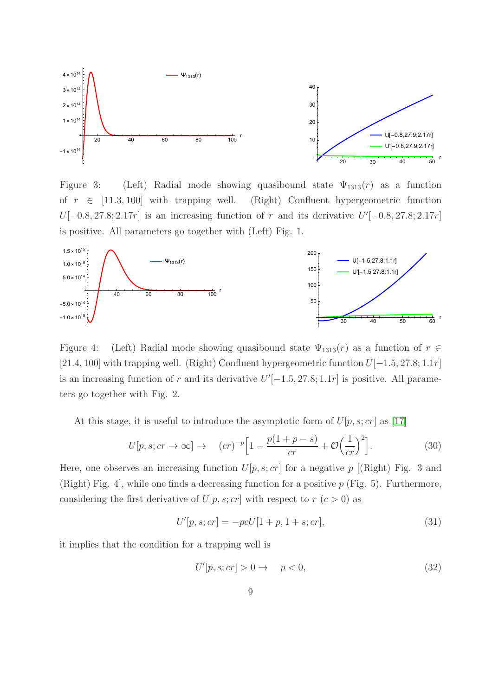

Figure 3: (Left) Radial mode showing quasibound state  $\Psi_{1313}(r)$  as a function of  $r \in [11.3, 100]$  with trapping well. (Right) Confluent hypergeometric function  $U[-0.8, 27.8; 2.17r]$  is an increasing function of r and its derivative  $U'[-0.8, 27.8; 2.17r]$ is positive. All parameters go together with (Left) Fig. 1.



Figure 4: (Left) Radial mode showing quasibound state  $\Psi_{1313}(r)$  as a function of  $r \in$ [21.4, 100] with trapping well. (Right) Confluent hypergeometric function U[−1.5, 27.8; 1.1r] is an increasing function of r and its derivative  $U'[-1.5, 27.8; 1.1r]$  is positive. All parameters go together with Fig. 2.

At this stage, it is useful to introduce the asymptotic form of  $U[p, s; cr]$  as [\[17\]](#page-14-3)

$$
U[p, s; cr \to \infty] \to (cr)^{-p} \left[ 1 - \frac{p(1+p-s)}{cr} + \mathcal{O}\left(\frac{1}{cr}\right)^2 \right].
$$
 (30)

Here, one observes an increasing function  $U[p, s; cr]$  for a negative  $p$  [(Right) Fig. 3 and (Right) Fig. 4, while one finds a decreasing function for a positive  $p$  (Fig. 5). Furthermore, considering the first derivative of  $U[p, s; cr]$  with respect to  $r (c > 0)$  as

$$
U'[p, s; cr] = -pcU[1 + p, 1 + s; cr],
$$
\n(31)

it implies that the condition for a trapping well is

$$
U'[p,s;cr] > 0 \to p < 0,
$$
\n
$$
(32)
$$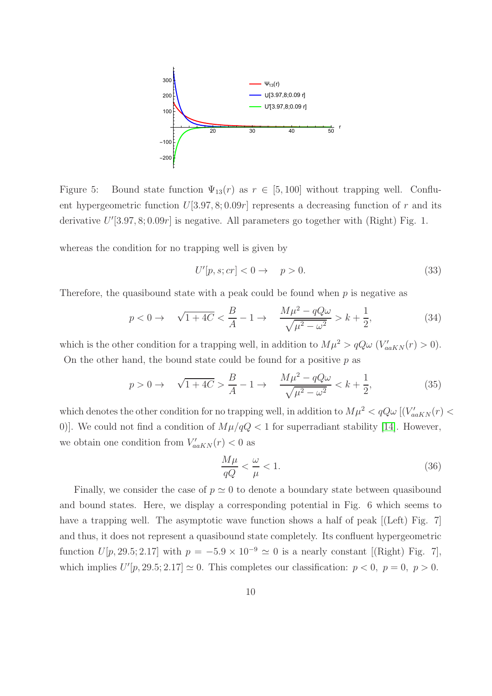

Figure 5: Bound state function  $\Psi_{13}(r)$  as  $r \in [5, 100]$  without trapping well. Confluent hypergeometric function  $U[3.97, 8; 0.09r]$  represents a decreasing function of r and its derivative  $U'[3.97, 8; 0.09r]$  is negative. All parameters go together with (Right) Fig. 1.

whereas the condition for no trapping well is given by

$$
U'[p,s;cr] < 0 \to p > 0. \tag{33}
$$

Therefore, the quasibound state with a peak could be found when  $p$  is negative as

$$
p < 0 \to \sqrt{1+4C} < \frac{B}{A} - 1 \to \frac{M\mu^2 - qQ\omega}{\sqrt{\mu^2 - \omega^2}} > k + \frac{1}{2},
$$
 (34)

which is the other condition for a trapping well, in addition to  $M\mu^2 > qQ\omega$  ( $V'_{a\alpha KN}(r) > 0$ ). On the other hand, the bound state could be found for a positive  $p$  as

$$
p > 0 \to \sqrt{1 + 4C} > \frac{B}{A} - 1 \to \frac{M\mu^2 - qQ\omega}{\sqrt{\mu^2 - \omega^2}} < k + \frac{1}{2},
$$
\n(35)

which denotes the other condition for no trapping well, in addition to  $M\mu^2 < qQ\omega$  [ $(V'_{aaKN}(r) <$ 0)]. We could not find a condition of  $M\mu/qQ < 1$  for superradiant stability [\[14\]](#page-14-0). However, we obtain one condition from  $V'_{a a K N}(r) < 0$  as

<span id="page-9-0"></span>
$$
\frac{M\mu}{qQ} < \frac{\omega}{\mu} < 1. \tag{36}
$$

Finally, we consider the case of  $p \simeq 0$  to denote a boundary state between quasibound and bound states. Here, we display a corresponding potential in Fig. 6 which seems to have a trapping well. The asymptotic wave function shows a half of peak [(Left) Fig. 7] and thus, it does not represent a quasibound state completely. Its confluent hypergeometric function  $U[p, 29.5; 2.17]$  with  $p = -5.9 \times 10^{-9} \approx 0$  is a nearly constant [(Right) Fig. 7], which implies  $U'[p, 29.5; 2.17] \simeq 0$ . This completes our classification:  $p < 0$ ,  $p = 0$ ,  $p > 0$ .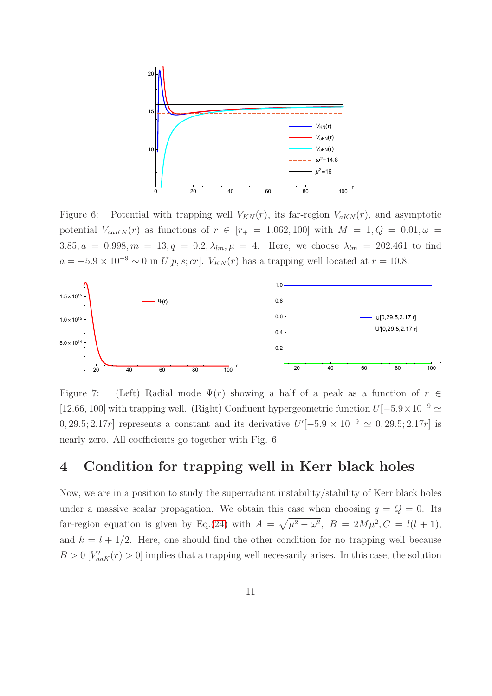

Figure 6: Potential with trapping well  $V_{KN}(r)$ , its far-region  $V_{aKN}(r)$ , and asymptotic potential  $V_{aaKN}(r)$  as functions of  $r \in [r_+ = 1.062, 100]$  with  $M = 1, Q = 0.01, \omega =$ 3.85,  $a = 0.998$ ,  $m = 13$ ,  $q = 0.2$ ,  $\lambda_{lm}$ ,  $\mu = 4$ . Here, we choose  $\lambda_{lm} = 202.461$  to find  $a = -5.9 \times 10^{-9} \sim 0$  in  $U[p, s; cr]$ .  $V_{KN}(r)$  has a trapping well located at  $r = 10.8$ .



Figure 7: (Left) Radial mode  $\Psi(r)$  showing a half of a peak as a function of  $r \in$ [12.66, 100] with trapping well. (Right) Confluent hypergeometric function  $U[-5.9 \times 10^{-9} \simeq$ 0, 29.5; 2.17r] represents a constant and its derivative  $U'[-5.9 \times 10^{-9} \simeq 0, 29.5; 2.17r]$  is nearly zero. All coefficients go together with Fig. 6.

### 4 Condition for trapping well in Kerr black holes

Now, we are in a position to study the superradiant instability/stability of Kerr black holes under a massive scalar propagation. We obtain this case when choosing  $q = Q = 0$ . Its far-region equation is given by Eq.[\(24\)](#page-7-1) with  $A = \sqrt{\mu^2 - \omega^2}$ ,  $B = 2M\mu^2$ ,  $C = l(l + 1)$ , and  $k = l + 1/2$ . Here, one should find the other condition for no trapping well because  $B > 0$  [ $V'_{a a K}(r) > 0$ ] implies that a trapping well necessarily arises. In this case, the solution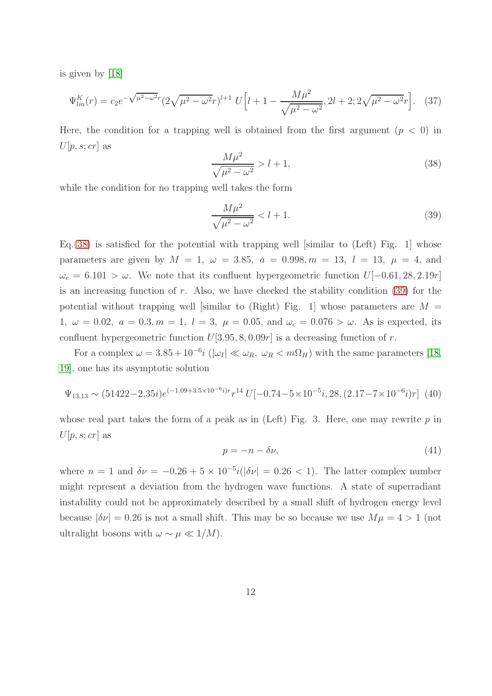is given by [\[18\]](#page-14-4)

$$
\Psi_{lm}^{K}(r) = c_2 e^{-\sqrt{\mu^2 - \omega^2}r} (2\sqrt{\mu^2 - \omega^2}r)^{l+1} U \left[l + 1 - \frac{M\mu^2}{\sqrt{\mu^2 - \omega^2}}, 2l + 2; 2\sqrt{\mu^2 - \omega^2}r\right].
$$
 (37)

Here, the condition for a trapping well is obtained from the first argument  $(p < 0)$  in  $U[p, s; cr]$  as

<span id="page-11-0"></span>
$$
\frac{M\mu^2}{\sqrt{\mu^2 - \omega^2}} > l + 1,\tag{38}
$$

while the condition for no trapping well takes the form

<span id="page-11-1"></span>
$$
\frac{M\mu^2}{\sqrt{\mu^2 - \omega^2}} < l + 1. \tag{39}
$$

Eq.[\(38\)](#page-11-0) is satisfied for the potential with trapping well [similar to (Left) Fig. 1] whose parameters are given by  $M = 1$ ,  $\omega = 3.85$ ,  $a = 0.998$ ,  $m = 13$ ,  $l = 13$ ,  $\mu = 4$ , and  $\omega_c = 6.101 > \omega$ . We note that its confluent hypergeometric function  $U[-0.61, 28, 2.19r]$ is an increasing function of  $r$ . Also, we have checked the stability condition  $(39)$  for the potential without trapping well [similar to (Right) Fig. 1] whose parameters are  $M =$ 1,  $\omega = 0.02$ ,  $a = 0.3, m = 1$ ,  $l = 3$ ,  $\mu = 0.05$ , and  $\omega_c = 0.076 > \omega$ . As is expected, its confluent hypergeometric function  $U[3.95, 8, 0.09r]$  is a decreasing function of r.

For a complex  $\omega = 3.85 + 10^{-6}i$  ( $|\omega_I| \ll \omega_R$ ,  $\omega_R < m\Omega_H$ ) with the same parameters [\[18,](#page-14-4) [19\]](#page-14-5), one has its asymptotic solution

$$
\Psi_{13,13} \sim (51422 - 2.35i)e^{(-1.09 + 3.5 \times 10^{-6}i)r}r^{14} U[-0.74 - 5 \times 10^{-5}i, 28, (2.17 - 7 \times 10^{-6}i)r] \tag{40}
$$

whose real part takes the form of a peak as in (Left) Fig. 3. Here, one may rewrite  $p$  in  $U[p, s; cr]$  as

$$
p = -n - \delta \nu,\tag{41}
$$

where  $n = 1$  and  $\delta \nu = -0.26 + 5 \times 10^{-5} i(|\delta \nu| = 0.26 < 1)$ . The latter complex number might represent a deviation from the hydrogen wave functions. A state of superradiant instability could not be approximately described by a small shift of hydrogen energy level because  $|\delta \nu| = 0.26$  is not a small shift. This may be so because we use  $M\mu = 4 > 1$  (not ultralight bosons with  $\omega \sim \mu \ll 1/M$ ).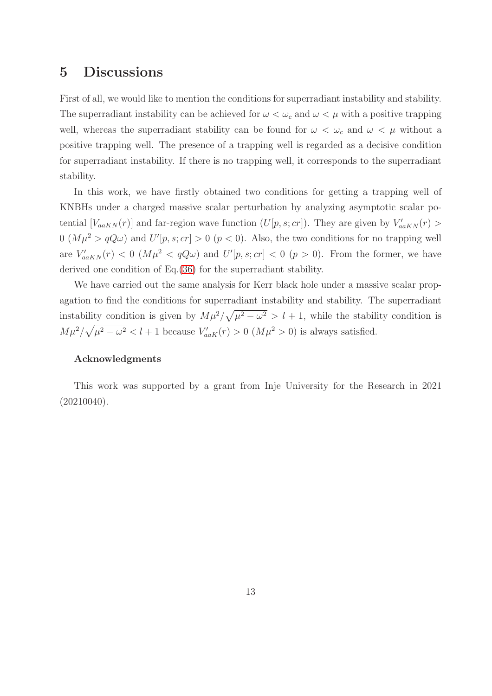### 5 Discussions

First of all, we would like to mention the conditions for superradiant instability and stability. The superradiant instability can be achieved for  $\omega < \omega_c$  and  $\omega < \mu$  with a positive trapping well, whereas the superradiant stability can be found for  $\omega < \omega_c$  and  $\omega < \mu$  without a positive trapping well. The presence of a trapping well is regarded as a decisive condition for superradiant instability. If there is no trapping well, it corresponds to the superradiant stability.

In this work, we have firstly obtained two conditions for getting a trapping well of KNBHs under a charged massive scalar perturbation by analyzing asymptotic scalar potential  $[V_{aaKN}(r)]$  and far-region wave function  $(U[p, s; cr])$ . They are given by  $V'_{aaKN}(r)$  $0 \ (M\mu^2 > qQ\omega)$  and  $U'[p, s; cr] > 0 \ (p < 0)$ . Also, the two conditions for no trapping well are  $V'_{a\alpha KN}(r) < 0 \ (M\mu^2 < qQ\omega)$  and  $U'[p,s;cr] < 0 \ (p>0)$ . From the former, we have derived one condition of Eq.[\(36\)](#page-9-0) for the superradiant stability.

We have carried out the same analysis for Kerr black hole under a massive scalar propagation to find the conditions for superradiant instability and stability. The superradiant instability condition is given by  $M\mu^2/\sqrt{\mu^2-\omega^2} > l+1$ , while the stability condition is  $M\mu^2/\sqrt{\mu^2-\omega^2} < l+1$  because  $V'_{aaK}(r) > 0$   $(M\mu^2 > 0)$  is always satisfied.

### Acknowledgments

This work was supported by a grant from Inje University for the Research in 2021 (20210040).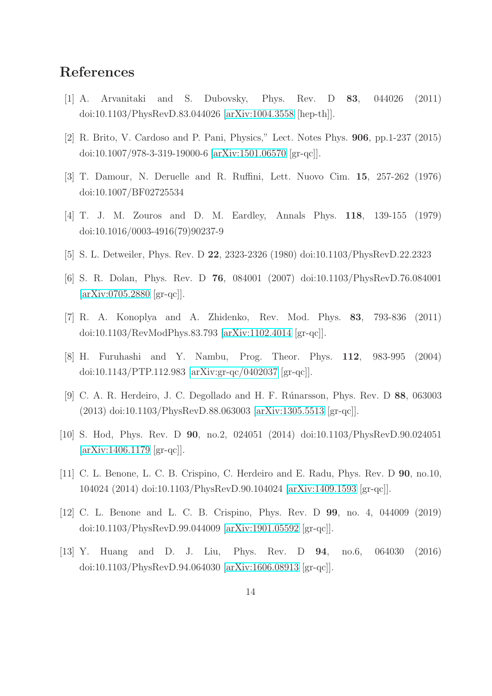# <span id="page-13-0"></span>References

- <span id="page-13-1"></span>[1] A. Arvanitaki and S. Dubovsky, Phys. Rev. D 83, 044026 (2011) doi:10.1103/PhysRevD.83.044026 [\[arXiv:1004.3558](http://arxiv.org/abs/1004.3558) [hep-th]].
- <span id="page-13-2"></span>[2] R. Brito, V. Cardoso and P. Pani, Physics," Lect. Notes Phys. 906, pp.1-237 (2015) doi:10.1007/978-3-319-19000-6 [\[arXiv:1501.06570](http://arxiv.org/abs/1501.06570) [gr-qc]].
- <span id="page-13-3"></span>[3] T. Damour, N. Deruelle and R. Ruffini, Lett. Nuovo Cim. 15, 257-262 (1976) doi:10.1007/BF02725534
- <span id="page-13-4"></span>[4] T. J. M. Zouros and D. M. Eardley, Annals Phys. 118, 139-155 (1979) doi:10.1016/0003-4916(79)90237-9
- <span id="page-13-5"></span>[5] S. L. Detweiler, Phys. Rev. D 22, 2323-2326 (1980) doi:10.1103/PhysRevD.22.2323
- <span id="page-13-6"></span>[6] S. R. Dolan, Phys. Rev. D 76, 084001 (2007) doi:10.1103/PhysRevD.76.084001 [\[arXiv:0705.2880](http://arxiv.org/abs/0705.2880) [gr-qc]].
- <span id="page-13-7"></span>[7] R. A. Konoplya and A. Zhidenko, Rev. Mod. Phys. 83, 793-836 (2011) doi:10.1103/RevModPhys.83.793 [\[arXiv:1102.4014](http://arxiv.org/abs/1102.4014) [gr-qc]].
- <span id="page-13-8"></span>[8] H. Furuhashi and Y. Nambu, Prog. Theor. Phys. 112, 983-995 (2004) doi:10.1143/PTP.112.983 [\[arXiv:gr-qc/0402037](http://arxiv.org/abs/gr-qc/0402037) [gr-qc]].
- <span id="page-13-9"></span>[9] C. A. R. Herdeiro, J. C. Degollado and H. F. Rúnarsson, Phys. Rev. D 88, 063003 (2013) doi:10.1103/PhysRevD.88.063003 [\[arXiv:1305.5513](http://arxiv.org/abs/1305.5513) [gr-qc]].
- <span id="page-13-10"></span>[10] S. Hod, Phys. Rev. D 90, no.2, 024051 (2014) doi:10.1103/PhysRevD.90.024051 [\[arXiv:1406.1179](http://arxiv.org/abs/1406.1179) [gr-qc]].
- <span id="page-13-11"></span>[11] C. L. Benone, L. C. B. Crispino, C. Herdeiro and E. Radu, Phys. Rev. D 90, no.10, 104024 (2014) doi:10.1103/PhysRevD.90.104024 [\[arXiv:1409.1593](http://arxiv.org/abs/1409.1593) [gr-qc]].
- <span id="page-13-12"></span>[12] C. L. Benone and L. C. B. Crispino, Phys. Rev. D 99, no. 4, 044009 (2019) doi:10.1103/PhysRevD.99.044009 [\[arXiv:1901.05592](http://arxiv.org/abs/1901.05592) [gr-qc]].
- [13] Y. Huang and D. J. Liu, Phys. Rev. D 94, no.6, 064030 (2016) doi:10.1103/PhysRevD.94.064030 [\[arXiv:1606.08913](http://arxiv.org/abs/1606.08913) [gr-qc]].